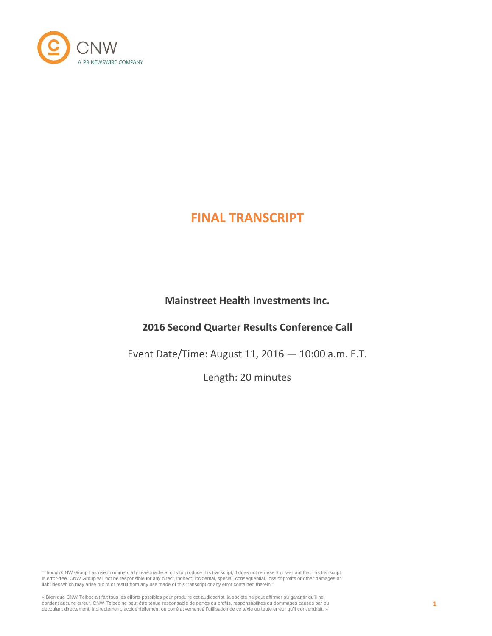

# **Mainstreet Health Investments Inc.**

# **2016 Second Quarter Results Conference Call**

Event Date/Time: August 11, 2016 — 10:00 a.m. E.T.

Length: 20 minutes

"Though CNW Group has used commercially reasonable efforts to produce this transcript, it does not represent or warrant that this transcript is error-free. CNW Group will not be responsible for any direct, indirect, incidental, special, consequential, loss of profits or other damages or liabilities which may arise out of or result from any use made of this transcript or any error contained therein."

« Bien que CNW Telbec ait fait tous les efforts possibles pour produire cet audioscript, la société ne peut affirmer ou garantir qu'il ne<br>contient aucune erreur. CNW Telbec ne peut être tenue responsable de pertes ou profi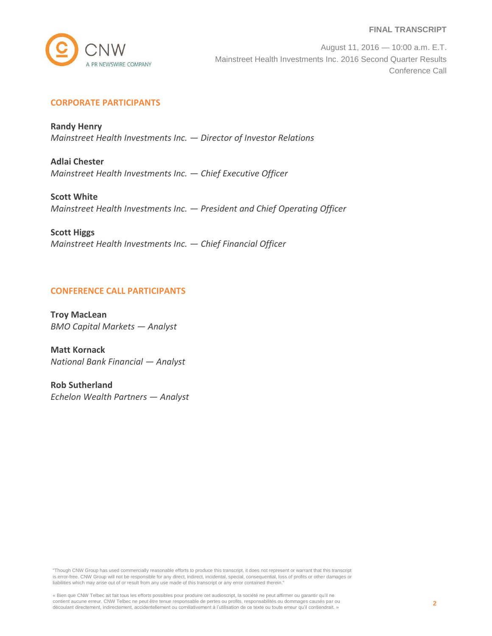

August 11, 2016 — 10:00 a.m. E.T. Mainstreet Health Investments Inc. 2016 Second Quarter Results Conference Call

# **CORPORATE PARTICIPANTS**

**Randy Henry** *Mainstreet Health Investments Inc. — Director of Investor Relations*

**Adlai Chester** *Mainstreet Health Investments Inc. — Chief Executive Officer*

**Scott White** *Mainstreet Health Investments Inc. — President and Chief Operating Officer*

**Scott Higgs** *Mainstreet Health Investments Inc. — Chief Financial Officer*

# **CONFERENCE CALL PARTICIPANTS**

**Troy MacLean** *BMO Capital Markets — Analyst*

**Matt Kornack** *National Bank Financial — Analyst*

**Rob Sutherland** *Echelon Wealth Partners — Analyst*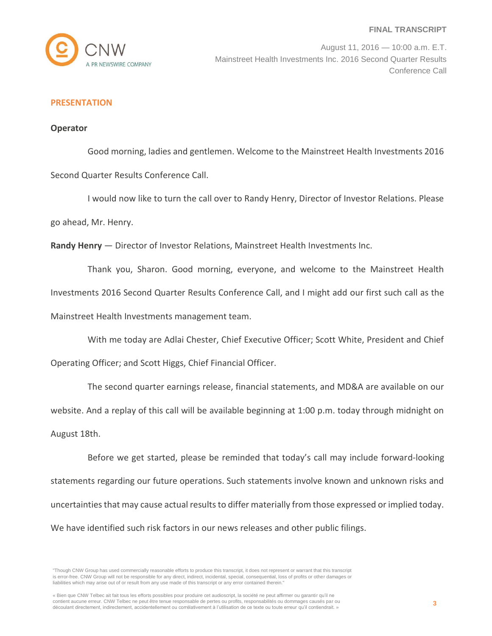

August 11, 2016 — 10:00 a.m. E.T. Mainstreet Health Investments Inc. 2016 Second Quarter Results Conference Call

# **PRESENTATION**

# **Operator**

Good morning, ladies and gentlemen. Welcome to the Mainstreet Health Investments 2016 Second Quarter Results Conference Call.

I would now like to turn the call over to Randy Henry, Director of Investor Relations. Please

go ahead, Mr. Henry.

**Randy Henry** — Director of Investor Relations, Mainstreet Health Investments Inc.

Thank you, Sharon. Good morning, everyone, and welcome to the Mainstreet Health Investments 2016 Second Quarter Results Conference Call, and I might add our first such call as the Mainstreet Health Investments management team.

With me today are Adlai Chester, Chief Executive Officer; Scott White, President and Chief

Operating Officer; and Scott Higgs, Chief Financial Officer.

The second quarter earnings release, financial statements, and MD&A are available on our website. And a replay of this call will be available beginning at 1:00 p.m. today through midnight on August 18th.

Before we get started, please be reminded that today's call may include forward-looking statements regarding our future operations. Such statements involve known and unknown risks and uncertainties that may cause actual results to differ materially from those expressed or implied today. We have identified such risk factors in our news releases and other public filings.

<sup>&</sup>quot;Though CNW Group has used commercially reasonable efforts to produce this transcript, it does not represent or warrant that this transcript is error-free. CNW Group will not be responsible for any direct, indirect, incidental, special, consequential, loss of profits or other damages or liabilities which may arise out of or result from any use made of this transcript or any error contained therein."

<sup>«</sup> Bien que CNW Telbec ait fait tous les efforts possibles pour produire cet audioscript, la société ne peut affirmer ou garantir qu'il ne contient aucune erreur. CNW Telbec ne peut être tenue responsable de pertes ou profits, responsabilités ou dommages causés par ou découlant directement, indirectement, accidentellement ou corrélativement à l'utilisation de ce texte ou toute erreur qu'il contiendrait. »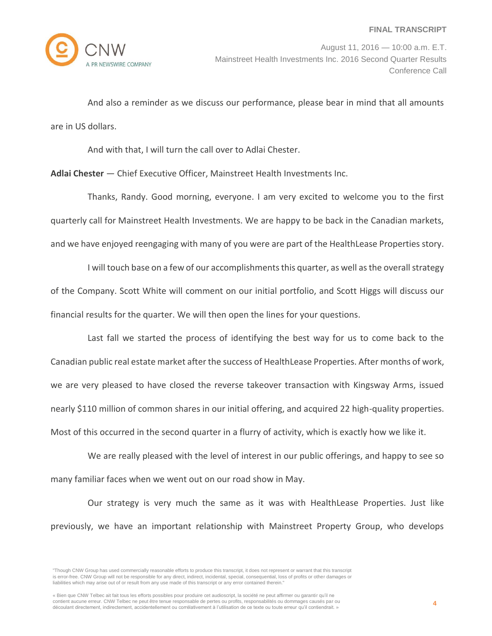

And also a reminder as we discuss our performance, please bear in mind that all amounts are in US dollars.

And with that, I will turn the call over to Adlai Chester.

**Adlai Chester** — Chief Executive Officer, Mainstreet Health Investments Inc.

Thanks, Randy. Good morning, everyone. I am very excited to welcome you to the first quarterly call for Mainstreet Health Investments. We are happy to be back in the Canadian markets, and we have enjoyed reengaging with many of you were are part of the HealthLease Properties story.

I will touch base on a few of our accomplishments this quarter, as well as the overall strategy of the Company. Scott White will comment on our initial portfolio, and Scott Higgs will discuss our financial results for the quarter. We will then open the lines for your questions.

Last fall we started the process of identifying the best way for us to come back to the Canadian public real estate market after the success of HealthLease Properties. After months of work, we are very pleased to have closed the reverse takeover transaction with Kingsway Arms, issued nearly \$110 million of common shares in our initial offering, and acquired 22 high-quality properties. Most of this occurred in the second quarter in a flurry of activity, which is exactly how we like it.

We are really pleased with the level of interest in our public offerings, and happy to see so many familiar faces when we went out on our road show in May.

Our strategy is very much the same as it was with HealthLease Properties. Just like previously, we have an important relationship with Mainstreet Property Group, who develops

<sup>&</sup>quot;Though CNW Group has used commercially reasonable efforts to produce this transcript, it does not represent or warrant that this transcript is error-free. CNW Group will not be responsible for any direct, indirect, incidental, special, consequential, loss of profits or other damages or liabilities which may arise out of or result from any use made of this transcript or any error contained therein."

<sup>«</sup> Bien que CNW Telbec ait fait tous les efforts possibles pour produire cet audioscript, la société ne peut affirmer ou garantir qu'il ne contient aucune erreur. CNW Telbec ne peut être tenue responsable de pertes ou profits, responsabilités ou dommages causés par ou découlant directement, indirectement, accidentellement ou corrélativement à l'utilisation de ce texte ou toute erreur qu'il contiendrait. »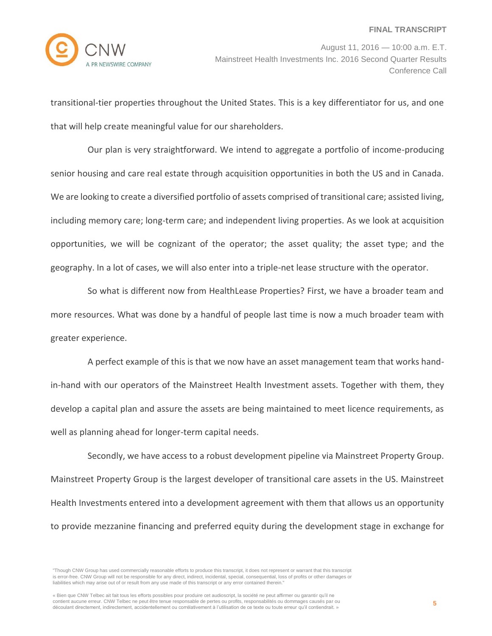

transitional-tier properties throughout the United States. This is a key differentiator for us, and one that will help create meaningful value for our shareholders.

Our plan is very straightforward. We intend to aggregate a portfolio of income-producing senior housing and care real estate through acquisition opportunities in both the US and in Canada. We are looking to create a diversified portfolio of assets comprised of transitional care; assisted living, including memory care; long-term care; and independent living properties. As we look at acquisition opportunities, we will be cognizant of the operator; the asset quality; the asset type; and the geography. In a lot of cases, we will also enter into a triple-net lease structure with the operator.

So what is different now from HealthLease Properties? First, we have a broader team and more resources. What was done by a handful of people last time is now a much broader team with greater experience.

A perfect example of this is that we now have an asset management team that works handin-hand with our operators of the Mainstreet Health Investment assets. Together with them, they develop a capital plan and assure the assets are being maintained to meet licence requirements, as well as planning ahead for longer-term capital needs.

Secondly, we have access to a robust development pipeline via Mainstreet Property Group. Mainstreet Property Group is the largest developer of transitional care assets in the US. Mainstreet Health Investments entered into a development agreement with them that allows us an opportunity to provide mezzanine financing and preferred equity during the development stage in exchange for

<sup>&</sup>quot;Though CNW Group has used commercially reasonable efforts to produce this transcript, it does not represent or warrant that this transcript is error-free. CNW Group will not be responsible for any direct, indirect, incidental, special, consequential, loss of profits or other damages or liabilities which may arise out of or result from any use made of this transcript or any error contained therein."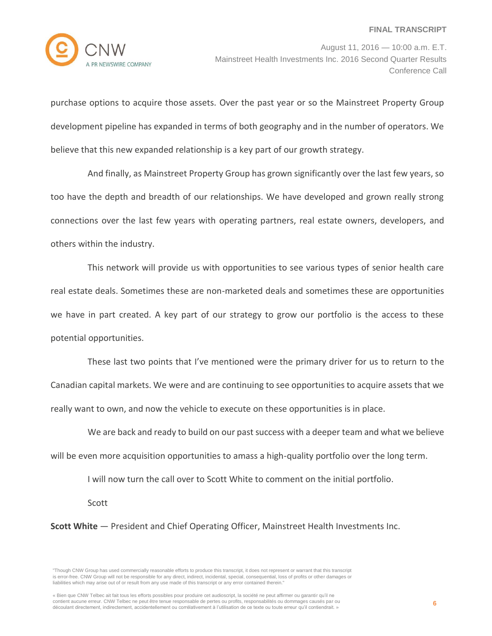

purchase options to acquire those assets. Over the past year or so the Mainstreet Property Group development pipeline has expanded in terms of both geography and in the number of operators. We believe that this new expanded relationship is a key part of our growth strategy.

And finally, as Mainstreet Property Group has grown significantly over the last few years, so too have the depth and breadth of our relationships. We have developed and grown really strong connections over the last few years with operating partners, real estate owners, developers, and others within the industry.

This network will provide us with opportunities to see various types of senior health care real estate deals. Sometimes these are non-marketed deals and sometimes these are opportunities we have in part created. A key part of our strategy to grow our portfolio is the access to these potential opportunities.

These last two points that I've mentioned were the primary driver for us to return to the Canadian capital markets. We were and are continuing to see opportunities to acquire assets that we really want to own, and now the vehicle to execute on these opportunities is in place.

We are back and ready to build on our past success with a deeper team and what we believe will be even more acquisition opportunities to amass a high-quality portfolio over the long term.

I will now turn the call over to Scott White to comment on the initial portfolio.

Scott

**Scott White** — President and Chief Operating Officer, Mainstreet Health Investments Inc.

<sup>&</sup>quot;Though CNW Group has used commercially reasonable efforts to produce this transcript, it does not represent or warrant that this transcript is error-free. CNW Group will not be responsible for any direct, indirect, incidental, special, consequential, loss of profits or other damages or liabilities which may arise out of or result from any use made of this transcript or any error contained therein."

<sup>«</sup> Bien que CNW Telbec ait fait tous les efforts possibles pour produire cet audioscript, la société ne peut affirmer ou garantir qu'il ne contient aucune erreur. CNW Telbec ne peut être tenue responsable de pertes ou profits, responsabilités ou dommages causés par ou découlant directement, indirectement, accidentellement ou corrélativement à l'utilisation de ce texte ou toute erreur qu'il contiendrait. »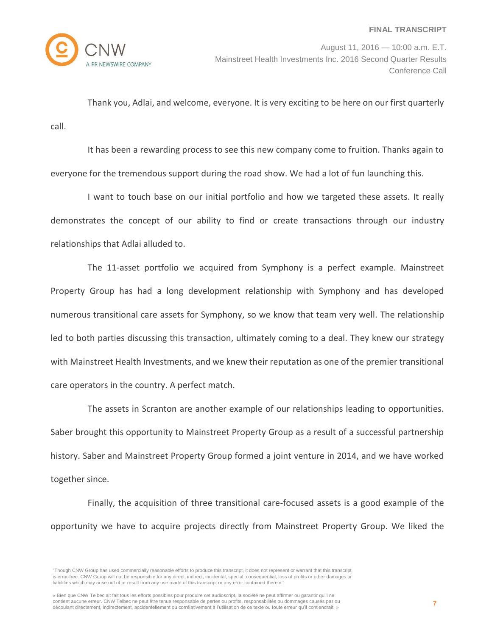

Thank you, Adlai, and welcome, everyone. It is very exciting to be here on our first quarterly call.

It has been a rewarding process to see this new company come to fruition. Thanks again to everyone for the tremendous support during the road show. We had a lot of fun launching this.

I want to touch base on our initial portfolio and how we targeted these assets. It really demonstrates the concept of our ability to find or create transactions through our industry relationships that Adlai alluded to.

The 11-asset portfolio we acquired from Symphony is a perfect example. Mainstreet Property Group has had a long development relationship with Symphony and has developed numerous transitional care assets for Symphony, so we know that team very well. The relationship led to both parties discussing this transaction, ultimately coming to a deal. They knew our strategy with Mainstreet Health Investments, and we knew their reputation as one of the premier transitional care operators in the country. A perfect match.

The assets in Scranton are another example of our relationships leading to opportunities. Saber brought this opportunity to Mainstreet Property Group as a result of a successful partnership history. Saber and Mainstreet Property Group formed a joint venture in 2014, and we have worked together since.

Finally, the acquisition of three transitional care-focused assets is a good example of the opportunity we have to acquire projects directly from Mainstreet Property Group. We liked the

<sup>&</sup>quot;Though CNW Group has used commercially reasonable efforts to produce this transcript, it does not represent or warrant that this transcript is error-free. CNW Group will not be responsible for any direct, indirect, incidental, special, consequential, loss of profits or other damages or liabilities which may arise out of or result from any use made of this transcript or any error contained therein."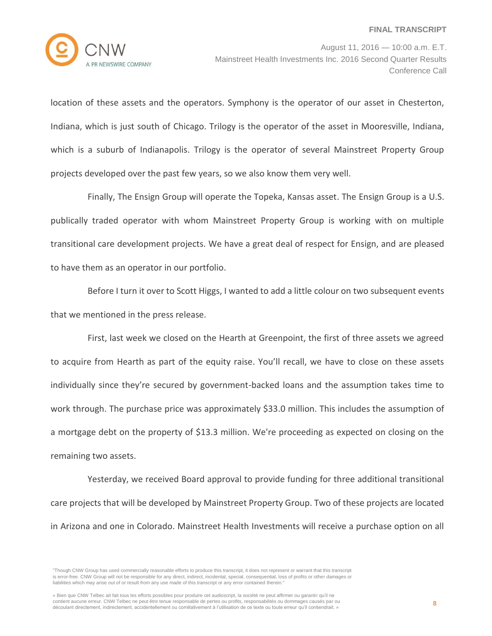

location of these assets and the operators. Symphony is the operator of our asset in Chesterton, Indiana, which is just south of Chicago. Trilogy is the operator of the asset in Mooresville, Indiana, which is a suburb of Indianapolis. Trilogy is the operator of several Mainstreet Property Group projects developed over the past few years, so we also know them very well.

Finally, The Ensign Group will operate the Topeka, Kansas asset. The Ensign Group is a U.S. publically traded operator with whom Mainstreet Property Group is working with on multiple transitional care development projects. We have a great deal of respect for Ensign, and are pleased to have them as an operator in our portfolio.

Before I turn it over to Scott Higgs, I wanted to add a little colour on two subsequent events that we mentioned in the press release.

First, last week we closed on the Hearth at Greenpoint, the first of three assets we agreed to acquire from Hearth as part of the equity raise. You'll recall, we have to close on these assets individually since they're secured by government-backed loans and the assumption takes time to work through. The purchase price was approximately \$33.0 million. This includes the assumption of a mortgage debt on the property of \$13.3 million. We're proceeding as expected on closing on the remaining two assets.

Yesterday, we received Board approval to provide funding for three additional transitional care projects that will be developed by Mainstreet Property Group. Two of these projects are located in Arizona and one in Colorado. Mainstreet Health Investments will receive a purchase option on all

<sup>&</sup>quot;Though CNW Group has used commercially reasonable efforts to produce this transcript, it does not represent or warrant that this transcript is error-free. CNW Group will not be responsible for any direct, indirect, incidental, special, consequential, loss of profits or other damages or liabilities which may arise out of or result from any use made of this transcript or any error contained therein."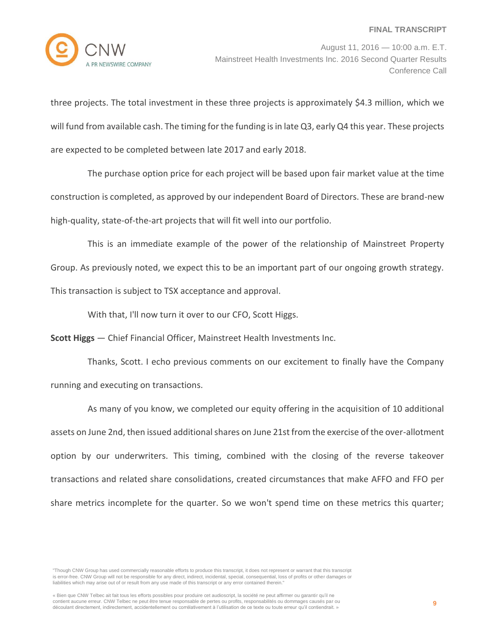

three projects. The total investment in these three projects is approximately \$4.3 million, which we will fund from available cash. The timing for the funding is in late Q3, early Q4 this year. These projects are expected to be completed between late 2017 and early 2018.

The purchase option price for each project will be based upon fair market value at the time construction is completed, as approved by our independent Board of Directors. These are brand-new high-quality, state-of-the-art projects that will fit well into our portfolio.

This is an immediate example of the power of the relationship of Mainstreet Property Group. As previously noted, we expect this to be an important part of our ongoing growth strategy. This transaction is subject to TSX acceptance and approval.

With that, I'll now turn it over to our CFO, Scott Higgs.

**Scott Higgs** — Chief Financial Officer, Mainstreet Health Investments Inc.

Thanks, Scott. I echo previous comments on our excitement to finally have the Company running and executing on transactions.

As many of you know, we completed our equity offering in the acquisition of 10 additional assets on June 2nd, then issued additional shares on June 21st from the exercise of the over-allotment option by our underwriters. This timing, combined with the closing of the reverse takeover transactions and related share consolidations, created circumstances that make AFFO and FFO per share metrics incomplete for the quarter. So we won't spend time on these metrics this quarter;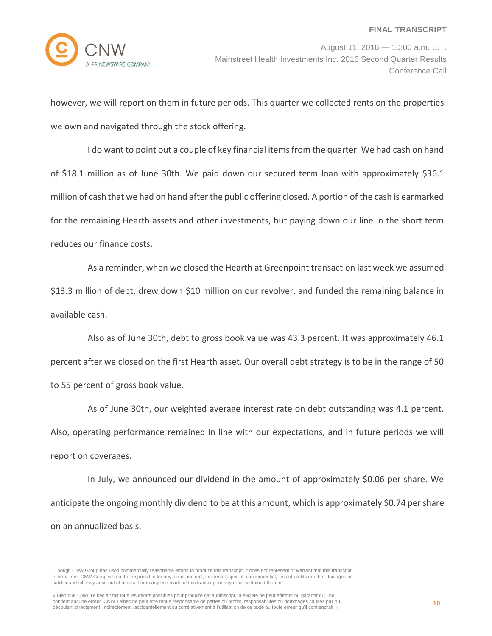

however, we will report on them in future periods. This quarter we collected rents on the properties we own and navigated through the stock offering.

I do want to point out a couple of key financial items from the quarter. We had cash on hand of \$18.1 million as of June 30th. We paid down our secured term loan with approximately \$36.1 million of cash that we had on hand after the public offering closed. A portion of the cash is earmarked for the remaining Hearth assets and other investments, but paying down our line in the short term reduces our finance costs.

As a reminder, when we closed the Hearth at Greenpoint transaction last week we assumed \$13.3 million of debt, drew down \$10 million on our revolver, and funded the remaining balance in available cash.

Also as of June 30th, debt to gross book value was 43.3 percent. It was approximately 46.1 percent after we closed on the first Hearth asset. Our overall debt strategy is to be in the range of 50 to 55 percent of gross book value.

As of June 30th, our weighted average interest rate on debt outstanding was 4.1 percent. Also, operating performance remained in line with our expectations, and in future periods we will report on coverages.

In July, we announced our dividend in the amount of approximately \$0.06 per share. We anticipate the ongoing monthly dividend to be at this amount, which is approximately \$0.74 per share on an annualized basis.

<sup>&</sup>quot;Though CNW Group has used commercially reasonable efforts to produce this transcript, it does not represent or warrant that this transcript is error-free. CNW Group will not be responsible for any direct, indirect, incidental, special, consequential, loss of profits or other damages or liabilities which may arise out of or result from any use made of this transcript or any error contained therein."

<sup>«</sup> Bien que CNW Telbec ait fait tous les efforts possibles pour produire cet audioscript, la société ne peut affirmer ou garantir qu'il ne contient aucune erreur. CNW Telbec ne peut être tenue responsable de pertes ou profits, responsabilités ou dommages causés par ou découlant directement, indirectement, accidentellement ou corrélativement à l'utilisation de ce texte ou toute erreur qu'il contiendrait. »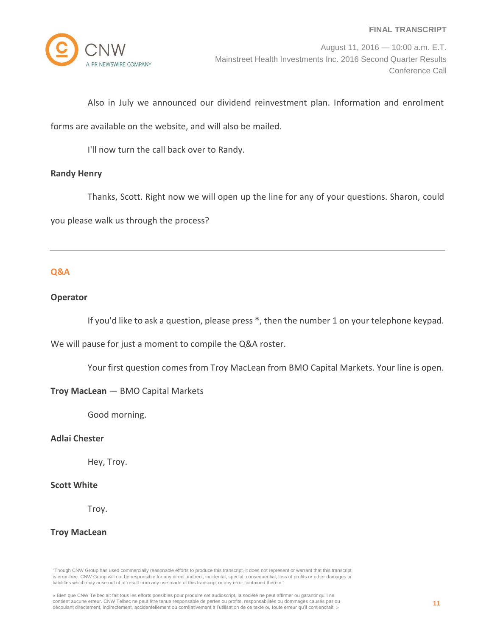

August 11, 2016 — 10:00 a.m. E.T. Mainstreet Health Investments Inc. 2016 Second Quarter Results Conference Call

Also in July we announced our dividend reinvestment plan. Information and enrolment

forms are available on the website, and will also be mailed.

I'll now turn the call back over to Randy.

# **Randy Henry**

Thanks, Scott. Right now we will open up the line for any of your questions. Sharon, could you please walk us through the process?

# **Q&A**

# **Operator**

If you'd like to ask a question, please press \*, then the number 1 on your telephone keypad.

We will pause for just a moment to compile the Q&A roster.

Your first question comes from Troy MacLean from BMO Capital Markets. Your line is open.

# **Troy MacLean** — BMO Capital Markets

Good morning.

# **Adlai Chester**

Hey, Troy.

# **Scott White**

Troy.

# **Troy MacLean**

<sup>«</sup> Bien que CNW Telbec ait fait tous les efforts possibles pour produire cet audioscript, la société ne peut affirmer ou garantir qu'il ne contient aucune erreur. CNW Telbec ne peut être tenue responsable de pertes ou profits, responsabilités ou dommages causés par ou<br>découlant directement, indirectement, accidentellement ou corrélativement à l'utilisation de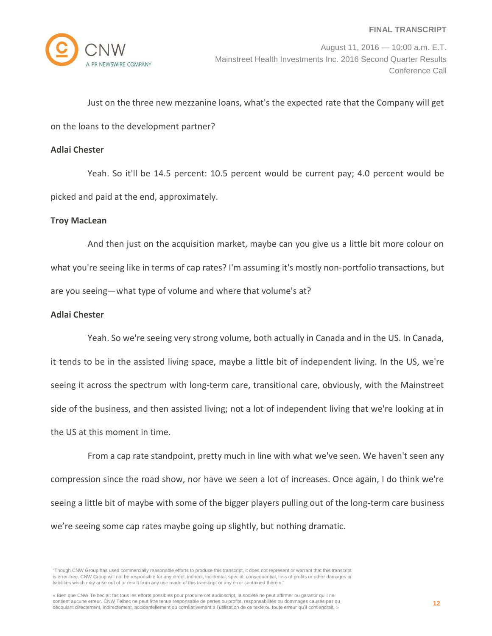

# Just on the three new mezzanine loans, what's the expected rate that the Company will get

on the loans to the development partner?

### **Adlai Chester**

Yeah. So it'll be 14.5 percent: 10.5 percent would be current pay; 4.0 percent would be picked and paid at the end, approximately.

# **Troy MacLean**

And then just on the acquisition market, maybe can you give us a little bit more colour on what you're seeing like in terms of cap rates? I'm assuming it's mostly non-portfolio transactions, but are you seeing—what type of volume and where that volume's at?

# **Adlai Chester**

Yeah. So we're seeing very strong volume, both actually in Canada and in the US. In Canada, it tends to be in the assisted living space, maybe a little bit of independent living. In the US, we're seeing it across the spectrum with long-term care, transitional care, obviously, with the Mainstreet side of the business, and then assisted living; not a lot of independent living that we're looking at in the US at this moment in time.

From a cap rate standpoint, pretty much in line with what we've seen. We haven't seen any compression since the road show, nor have we seen a lot of increases. Once again, I do think we're seeing a little bit of maybe with some of the bigger players pulling out of the long-term care business we're seeing some cap rates maybe going up slightly, but nothing dramatic.

<sup>&</sup>quot;Though CNW Group has used commercially reasonable efforts to produce this transcript, it does not represent or warrant that this transcript is error-free. CNW Group will not be responsible for any direct, indirect, incidental, special, consequential, loss of profits or other damages or liabilities which may arise out of or result from any use made of this transcript or any error contained therein."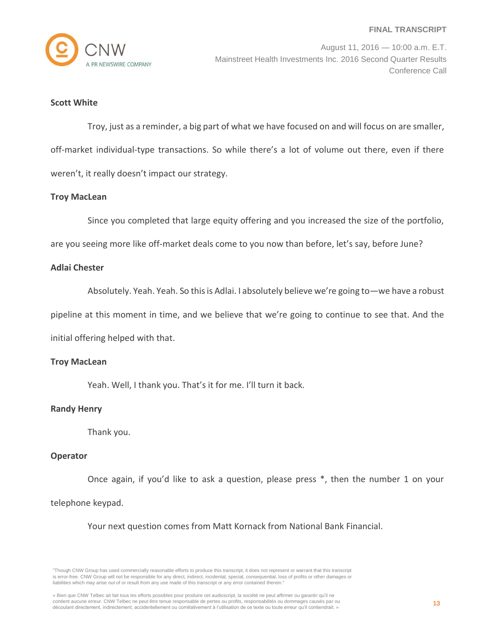

### **Scott White**

Troy, just as a reminder, a big part of what we have focused on and will focus on are smaller, off-market individual-type transactions. So while there's a lot of volume out there, even if there weren't, it really doesn't impact our strategy.

# **Troy MacLean**

Since you completed that large equity offering and you increased the size of the portfolio,

are you seeing more like off-market deals come to you now than before, let's say, before June?

### **Adlai Chester**

Absolutely. Yeah. Yeah. So this is Adlai. I absolutely believe we're going to—we have a robust pipeline at this moment in time, and we believe that we're going to continue to see that. And the

initial offering helped with that.

# **Troy MacLean**

Yeah. Well, I thank you. That's it for me. I'll turn it back.

# **Randy Henry**

Thank you.

# **Operator**

Once again, if you'd like to ask a question, please press \*, then the number 1 on your telephone keypad.

Your next question comes from Matt Kornack from National Bank Financial.

<sup>&</sup>quot;Though CNW Group has used commercially reasonable efforts to produce this transcript, it does not represent or warrant that this transcript is error-free. CNW Group will not be responsible for any direct, indirect, incidental, special, consequential, loss of profits or other damages or liabilities which may arise out of or result from any use made of this transcript or any error contained therein."

<sup>«</sup> Bien que CNW Telbec ait fait tous les efforts possibles pour produire cet audioscript, la société ne peut affirmer ou garantir qu'il ne contient aucune erreur. CNW Telbec ne peut être tenue responsable de pertes ou profits, responsabilités ou dommages causés par ou découlant directement, indirectement, accidentellement ou corrélativement à l'utilisation de ce texte ou toute erreur qu'il contiendrait. »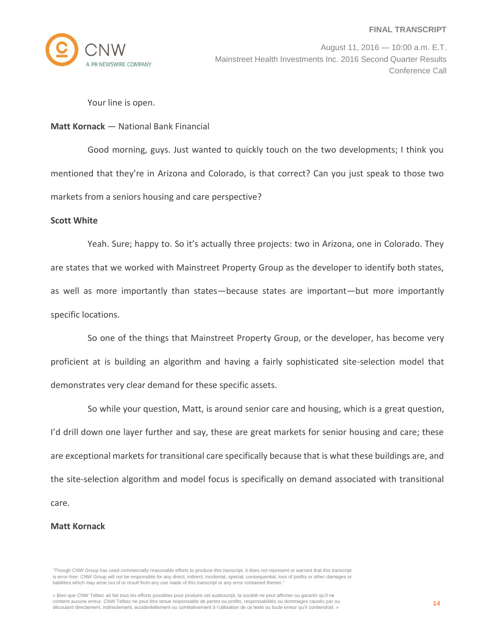

August 11, 2016 — 10:00 a.m. E.T. Mainstreet Health Investments Inc. 2016 Second Quarter Results Conference Call

Your line is open.

### **Matt Kornack** — National Bank Financial

Good morning, guys. Just wanted to quickly touch on the two developments; I think you mentioned that they're in Arizona and Colorado, is that correct? Can you just speak to those two markets from a seniors housing and care perspective?

### **Scott White**

Yeah. Sure; happy to. So it's actually three projects: two in Arizona, one in Colorado. They are states that we worked with Mainstreet Property Group as the developer to identify both states, as well as more importantly than states—because states are important—but more importantly specific locations.

So one of the things that Mainstreet Property Group, or the developer, has become very proficient at is building an algorithm and having a fairly sophisticated site-selection model that demonstrates very clear demand for these specific assets.

So while your question, Matt, is around senior care and housing, which is a great question, I'd drill down one layer further and say, these are great markets for senior housing and care; these are exceptional markets for transitional care specifically because that is what these buildings are, and the site-selection algorithm and model focus is specifically on demand associated with transitional care.

# **Matt Kornack**

<sup>&</sup>quot;Though CNW Group has used commercially reasonable efforts to produce this transcript, it does not represent or warrant that this transcript is error-free. CNW Group will not be responsible for any direct, indirect, incidental, special, consequential, loss of profits or other damages or liabilities which may arise out of or result from any use made of this transcript or any error contained therein."

<sup>«</sup> Bien que CNW Telbec ait fait tous les efforts possibles pour produire cet audioscript, la société ne peut affirmer ou garantir qu'il ne contient aucune erreur. CNW Telbec ne peut être tenue responsable de pertes ou profits, responsabilités ou dommages causés par ou découlant directement, indirectement, accidentellement ou corrélativement à l'utilisation de ce texte ou toute erreur qu'il contiendrait. »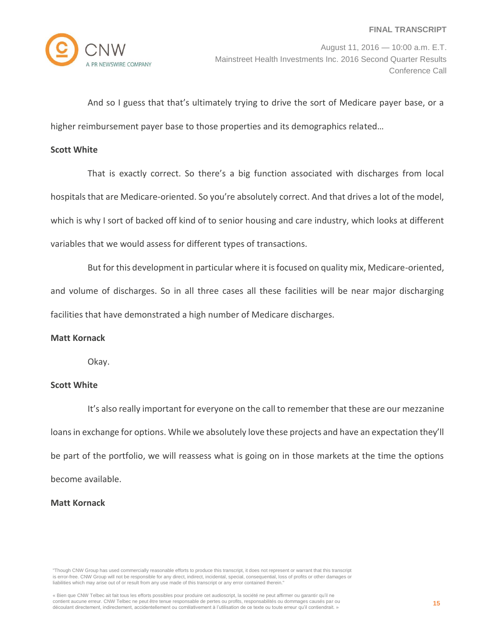

And so I guess that that's ultimately trying to drive the sort of Medicare payer base, or a higher reimbursement payer base to those properties and its demographics related…

### **Scott White**

That is exactly correct. So there's a big function associated with discharges from local hospitals that are Medicare-oriented. So you're absolutely correct. And that drives a lot of the model, which is why I sort of backed off kind of to senior housing and care industry, which looks at different variables that we would assess for different types of transactions.

But for this development in particular where it is focused on quality mix, Medicare-oriented, and volume of discharges. So in all three cases all these facilities will be near major discharging facilities that have demonstrated a high number of Medicare discharges.

# **Matt Kornack**

Okay.

# **Scott White**

It's also really important for everyone on the call to remember that these are our mezzanine loans in exchange for options. While we absolutely love these projects and have an expectation they'll be part of the portfolio, we will reassess what is going on in those markets at the time the options become available.

# **Matt Kornack**

<sup>&</sup>quot;Though CNW Group has used commercially reasonable efforts to produce this transcript, it does not represent or warrant that this transcript is error-free. CNW Group will not be responsible for any direct, indirect, incidental, special, consequential, loss of profits or other damages or liabilities which may arise out of or result from any use made of this transcript or any error contained therein."

<sup>«</sup> Bien que CNW Telbec ait fait tous les efforts possibles pour produire cet audioscript, la société ne peut affirmer ou garantir qu'il ne contient aucune erreur. CNW Telbec ne peut être tenue responsable de pertes ou profits, responsabilités ou dommages causés par ou découlant directement, indirectement, accidentellement ou corrélativement à l'utilisation de ce texte ou toute erreur qu'il contiendrait. »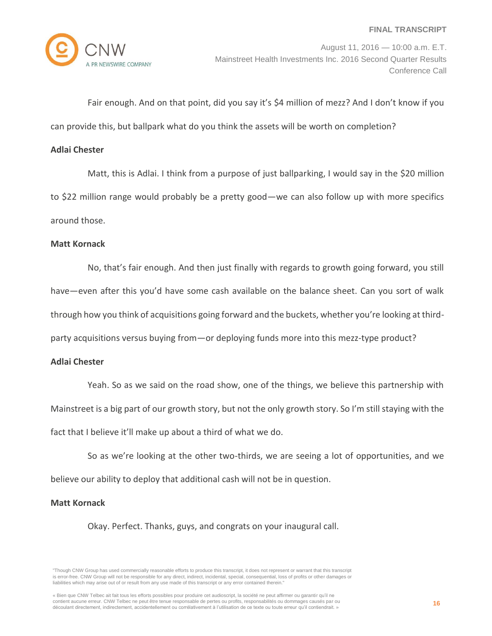

Fair enough. And on that point, did you say it's \$4 million of mezz? And I don't know if you can provide this, but ballpark what do you think the assets will be worth on completion?

### **Adlai Chester**

Matt, this is Adlai. I think from a purpose of just ballparking, I would say in the \$20 million to \$22 million range would probably be a pretty good—we can also follow up with more specifics around those.

### **Matt Kornack**

No, that's fair enough. And then just finally with regards to growth going forward, you still have—even after this you'd have some cash available on the balance sheet. Can you sort of walk through how you think of acquisitions going forward and the buckets, whether you're looking at thirdparty acquisitions versus buying from—or deploying funds more into this mezz-type product?

### **Adlai Chester**

Yeah. So as we said on the road show, one of the things, we believe this partnership with Mainstreet is a big part of our growth story, but not the only growth story. So I'm still staying with the fact that I believe it'll make up about a third of what we do.

So as we're looking at the other two-thirds, we are seeing a lot of opportunities, and we believe our ability to deploy that additional cash will not be in question.

# **Matt Kornack**

Okay. Perfect. Thanks, guys, and congrats on your inaugural call.

<sup>&</sup>quot;Though CNW Group has used commercially reasonable efforts to produce this transcript, it does not represent or warrant that this transcript is error-free. CNW Group will not be responsible for any direct, indirect, incidental, special, consequential, loss of profits or other damages or liabilities which may arise out of or result from any use made of this transcript or any error contained therein."

<sup>«</sup> Bien que CNW Telbec ait fait tous les efforts possibles pour produire cet audioscript, la société ne peut affirmer ou garantir qu'il ne contient aucune erreur. CNW Telbec ne peut être tenue responsable de pertes ou profits, responsabilités ou dommages causés par ou découlant directement, indirectement, accidentellement ou corrélativement à l'utilisation de ce texte ou toute erreur qu'il contiendrait. »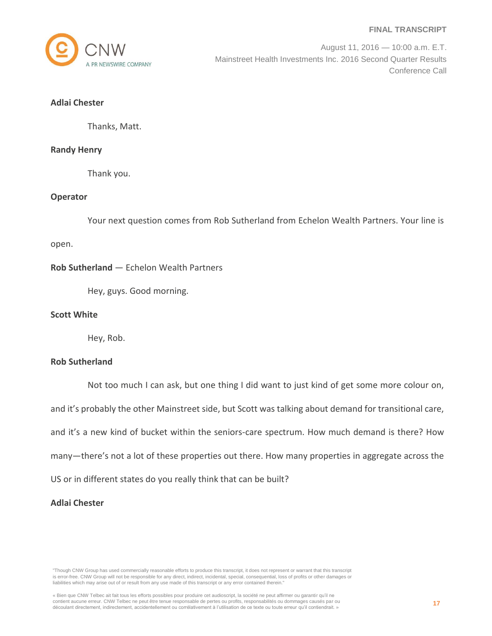

August 11, 2016 — 10:00 a.m. E.T. Mainstreet Health Investments Inc. 2016 Second Quarter Results Conference Call

# **Adlai Chester**

Thanks, Matt.

# **Randy Henry**

Thank you.

# **Operator**

Your next question comes from Rob Sutherland from Echelon Wealth Partners. Your line is

open.

# **Rob Sutherland** — Echelon Wealth Partners

Hey, guys. Good morning.

# **Scott White**

Hey, Rob.

# **Rob Sutherland**

Not too much I can ask, but one thing I did want to just kind of get some more colour on,

and it's probably the other Mainstreet side, but Scott was talking about demand for transitional care,

and it's a new kind of bucket within the seniors-care spectrum. How much demand is there? How

many—there's not a lot of these properties out there. How many properties in aggregate across the

US or in different states do you really think that can be built?

# **Adlai Chester**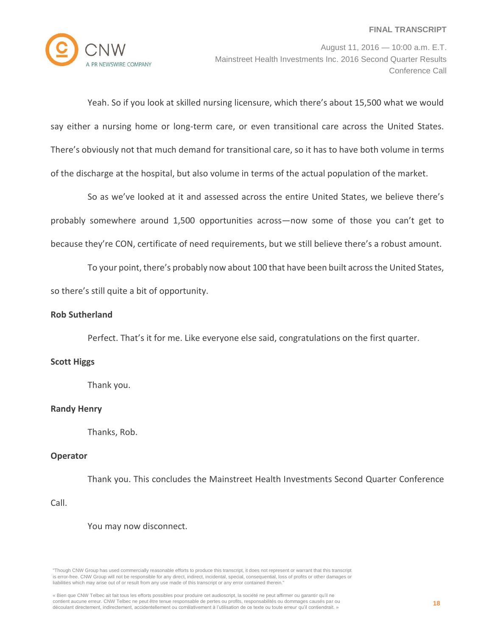

Yeah. So if you look at skilled nursing licensure, which there's about 15,500 what we would say either a nursing home or long-term care, or even transitional care across the United States. There's obviously not that much demand for transitional care, so it has to have both volume in terms of the discharge at the hospital, but also volume in terms of the actual population of the market.

So as we've looked at it and assessed across the entire United States, we believe there's probably somewhere around 1,500 opportunities across—now some of those you can't get to because they're CON, certificate of need requirements, but we still believe there's a robust amount.

To your point, there's probably now about 100 that have been built across the United States, so there's still quite a bit of opportunity.

# **Rob Sutherland**

Perfect. That's it for me. Like everyone else said, congratulations on the first quarter.

# **Scott Higgs**

Thank you.

# **Randy Henry**

Thanks, Rob.

# **Operator**

Thank you. This concludes the Mainstreet Health Investments Second Quarter Conference

# Call.

You may now disconnect.

<sup>«</sup> Bien que CNW Telbec ait fait tous les efforts possibles pour produire cet audioscript, la société ne peut affirmer ou garantir qu'il ne contient aucune erreur. CNW Telbec ne peut être tenue responsable de pertes ou profits, responsabilités ou dommages causés par ou découlant directement, indirectement, accidentellement ou corrélativement à l'utilisation de ce texte ou toute erreur qu'il contiendrait. »